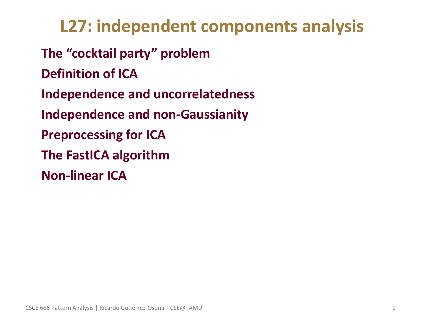**L27: independent components analysis** • **The "cocktail party" problem** • **Definition of ICA** • **Independence and uncorrelatedness** • **Independence and non-Gaussianity** • **Preprocessing for ICA** • **The FastICA algorithm** • **Non-linear ICA**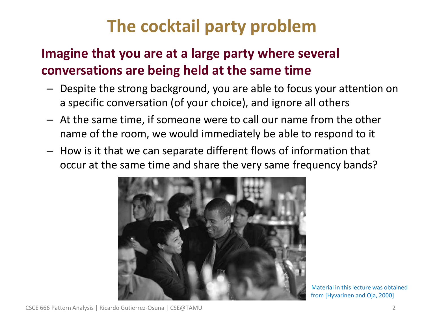# **The cocktail party problem**

## • **Imagine that you are at a large party where several conversations are being held at the same time**

- Despite the strong background, you are able to focus your attention on a specific conversation (of your choice), and ignore all others
- At the same time, if someone were to call our name from the other name of the room, we would immediately be able to respond to it
- How is it that we can separate different flows of information that occur at the same time and share the very same frequency bands?



Material in this lecture was obtained from [Hyvarinen and Oja, 2000]

CSCE 666 Pattern Analysis | Ricardo Gutierrez-Osuna | CSE@TAMU 2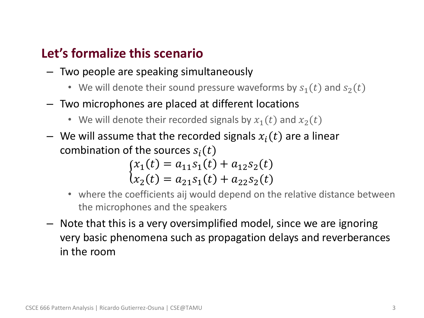#### • **Let's formalize this scenario**

- Two people are speaking simultaneously
	- We will denote their sound pressure waveforms by  $s_1(t)$  and  $s_2(t)$
- Two microphones are placed at different locations
	- We will denote their recorded signals by  $x_1(t)$  and  $x_2(t)$
- We will assume that the recorded signals  $x_i(t)$  are a linear combination of the sources  $s_i(t)$

$$
\begin{cases}\nx_1(t) = a_{11}s_1(t) + a_{12}s_2(t) \\
x_2(t) = a_{21}s_1(t) + a_{22}s_2(t)\n\end{cases}
$$

- where the coefficients aij would depend on the relative distance between the microphones and the speakers
- Note that this is a very oversimplified model, since we are ignoring very basic phenomena such as propagation delays and reverberances in the room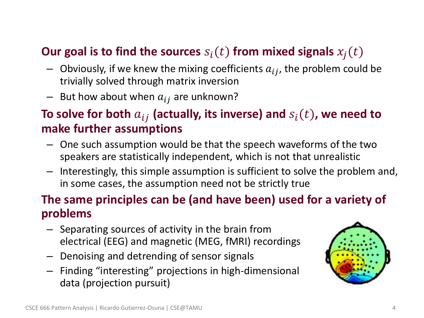### **Our goal is to find the sources**  $s_i(t)$  from mixed signals  $x_i(t)$

- Obviously, if we knew the mixing coefficients  $a_{ij}$ , the problem could be trivially solved through matrix inversion
- But how about when  $a_{ij}$  are unknown?

### To solve for both  $a_{ij}$  (actually, its inverse) and  $s_i(t)$ , we need to **make further assumptions**

- One such assumption would be that the speech waveforms of the two speakers are statistically independent, which is not that unrealistic
- Interestingly, this simple assumption is sufficient to solve the problem and, in some cases, the assumption need not be strictly true

#### • **The same principles can be (and have been) used for a variety of problems**

- Separating sources of activity in the brain from electrical (EEG) and magnetic (MEG, fMRI) recordings
- Denoising and detrending of sensor signals
- Finding "interesting" projections in high-dimensional data (projection pursuit)

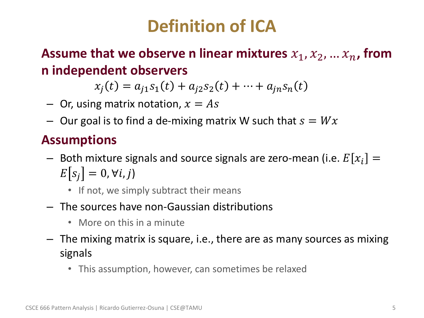# **Definition of ICA**

**Assume that we observe n linear mixtures**  $x_1, x_2, ... x_n$ , from **n independent observers**

$$
x_j(t) = a_{j1} s_1(t) + a_{j2} s_2(t) + \dots + a_{jn} s_n(t)
$$

- $-$  Or, using matrix notation,  $x = As$
- Our goal is to find a de-mixing matrix W such that  $s = Wx$

## • **Assumptions**

- Both mixture signals and source signals are zero-mean (i.e.  $E[x_i] =$  $E[s_i] = 0, \forall i, j$ 
	- If not, we simply subtract their means
- The sources have non-Gaussian distributions
	- More on this in a minute
- The mixing matrix is square, i.e., there are as many sources as mixing signals
	- This assumption, however, can sometimes be relaxed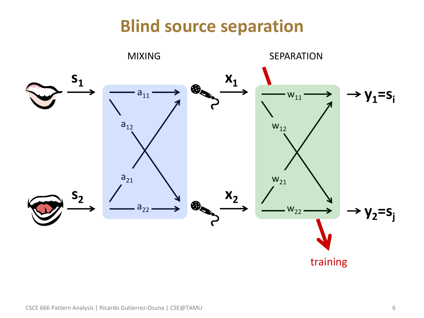## **Blind source separation**

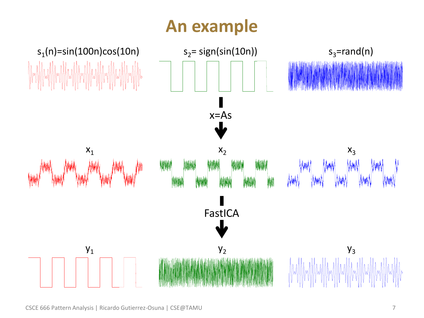# **An example**



CSCE 666 Pattern Analysis | Ricardo Gutierrez-Osuna | CSE@TAMU 7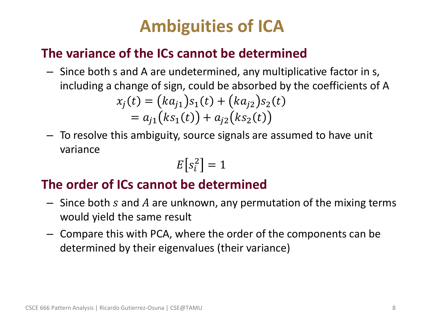# **Ambiguities of ICA**

### • **The variance of the ICs cannot be determined**

- Since both s and A are undetermined, any multiplicative factor in s, including a change of sign, could be absorbed by the coefficients of A  $x_j(t) = (ka_{j1})s_1(t) + (ka_{j2})s_2(t)$  $= a_{i1}(ks_1(t)) + a_{i2}(ks_2(t))$
- To resolve this ambiguity, source signals are assumed to have unit variance

$$
E\big[s_i^2\big]=1
$$

## • **The order of ICs cannot be determined**

- $-$  Since both s and A are unknown, any permutation of the mixing terms would yield the same result
- Compare this with PCA, where the order of the components can be determined by their eigenvalues (their variance)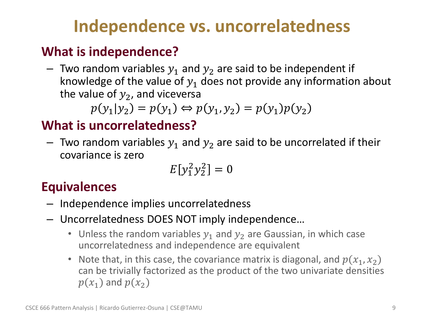# **Independence vs. uncorrelatedness**

## • **What is independence?**

– Two random variables  $y_1$  and  $y_2$  are said to be independent if knowledge of the value of  $y_1$  does not provide any information about the value of  $y_2$ , and viceversa

$$
p(y_1|y_2) = p(y_1) \Leftrightarrow p(y_1, y_2) = p(y_1)p(y_2)
$$

## • **What is uncorrelatedness?**

– Two random variables  $y_1$  and  $y_2$  are said to be uncorrelated if their covariance is zero

$$
E[y_1^2 y_2^2] = 0
$$

## • **Equivalences**

- Independence implies uncorrelatedness
- Uncorrelatedness DOES NOT imply independence…
	- Unless the random variables  $y_1$  and  $y_2$  are Gaussian, in which case uncorrelatedness and independence are equivalent
	- Note that, in this case, the covariance matrix is diagonal, and  $p(x_1, x_2)$ can be trivially factorized as the product of the two univariate densities  $p(x_1)$  and  $p(x_2)$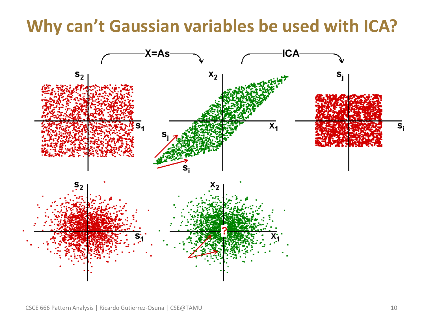## **Why can't Gaussian variables be used with ICA?**



CSCE 666 Pattern Analysis | Ricardo Gutierrez-Osuna | CSE@TAMU 10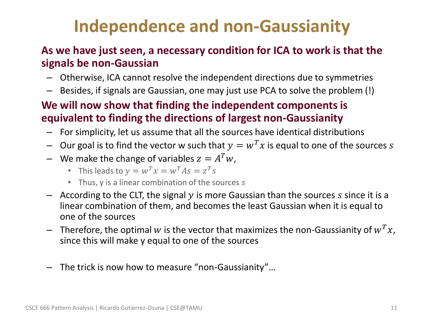# **Independence and non-Gaussianity**

#### • **As we have just seen, a necessary condition for ICA to work is that the signals be non-Gaussian**

- Otherwise, ICA cannot resolve the independent directions due to symmetries
- Besides, if signals are Gaussian, one may just use PCA to solve the problem (!)

#### • **We will now show that finding the independent components is equivalent to finding the directions of largest non-Gaussianity**

- For simplicity, let us assume that all the sources have identical distributions
- Our goal is to find the vector w such that  $y = w^T x$  is equal to one of the sources s
- We make the change of variables  $z = A^T w$ ,
	- This leads to  $y = w^T x = w^T A s = z^T s$
	- Thus, y is a linear combination of the sources s
- $-$  According to the CLT, the signal y is more Gaussian than the sources s since it is a linear combination of them, and becomes the least Gaussian when it is equal to one of the sources
- Therefore, the optimal w is the vector that maximizes the non-Gaussianity of  $w^T x$ , since this will make y equal to one of the sources
- The trick is now how to measure "non-Gaussianity"…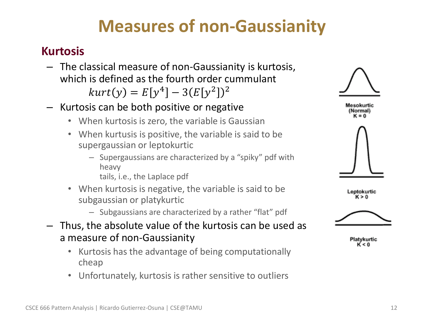## **Measures of non-Gaussianity**

#### • **Kurtosis**

- The classical measure of non-Gaussianity is kurtosis, which is defined as the fourth order cummulant  $kurt(y) = E[y^4] - 3(E[y^2])^2$
- Kurtosis can be both positive or negative
	- When kurtosis is zero, the variable is Gaussian
	- When kurtusis is positive, the variable is said to be supergaussian or leptokurtic
		- Supergaussians are characterized by a "spiky" pdf with heavy

tails, i.e., the Laplace pdf

- When kurtosis is negative, the variable is said to be subgaussian or platykurtic
	- Subgaussians are characterized by a rather "flat" pdf
- Thus, the absolute value of the kurtosis can be used as a measure of non-Gaussianity
	- Kurtosis has the advantage of being computationally cheap
	- Unfortunately, kurtosis is rather sensitive to outliers







Platykurtic K < 0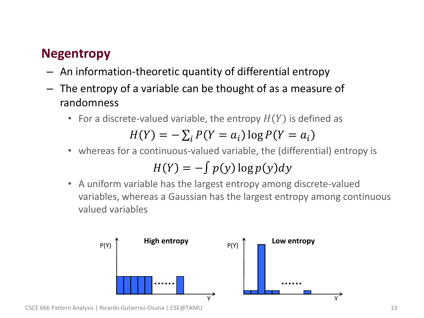### • **Negentropy**

- An information-theoretic quantity of differential entropy
- The entropy of a variable can be thought of as a measure of randomness
	- For a discrete-valued variable, the entropy  $H(Y)$  is defined as

$$
H(Y) = -\sum_{i} P(Y = a_i) \log P(Y = a_i)
$$

• whereas for a continuous-valued variable, the (differential) entropy is

$$
H(Y) = -\int p(y) \log p(y) dy
$$

• A uniform variable has the largest entropy among discrete-valued variables, whereas a Gaussian has the largest entropy among continuous valued variables

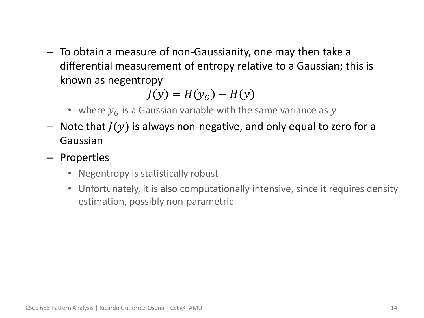– To obtain a measure of non-Gaussianity, one may then take a differential measurement of entropy relative to a Gaussian; this is known as negentropy

 $J(y) = H(y_c) - H(y)$ 

- where  $y_G$  is a Gaussian variable with the same variance as y
- Note that  $J(y)$  is always non-negative, and only equal to zero for a Gaussian
- Properties
	- Negentropy is statistically robust
	- Unfortunately, it is also computationally intensive, since it requires density estimation, possibly non-parametric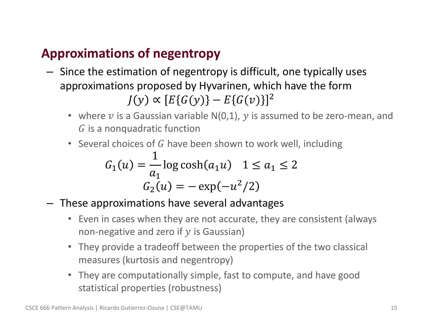## • **Approximations of negentropy**

- Since the estimation of negentropy is difficult, one typically uses approximations proposed by Hyvarinen, which have the form  $J(y) \propto [E\{G(y)\} - E\{G(v)\}]^2$ 
	- where  $\nu$  is a Gaussian variable N(0,1),  $\nu$  is assumed to be zero-mean, and  $\tilde{G}$  is a nonquadratic function
	- Several choices of  $G$  have been shown to work well, including

$$
G_1(u) = \frac{1}{a_1} \log \cosh(a_1 u) \quad 1 \le a_1 \le 2
$$

$$
G_2(u) = -\exp(-u^2/2)
$$

- These approximations have several advantages
	- Even in cases when they are not accurate, they are consistent (always non-negative and zero if  $y$  is Gaussian)
	- They provide a tradeoff between the properties of the two classical measures (kurtosis and negentropy)
	- They are computationally simple, fast to compute, and have good statistical properties (robustness)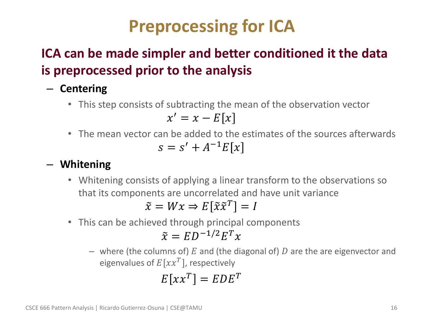# **Preprocessing for ICA**

## • **ICA can be made simpler and better conditioned it the data is preprocessed prior to the analysis**

- **Centering**
	- This step consists of subtracting the mean of the observation vector

$$
x' = x - E[x]
$$

• The mean vector can be added to the estimates of the sources afterwards  $s = s' + A^{-1}E[x]$ 

#### – **Whitening**

• Whitening consists of applying a linear transform to the observations so that its components are uncorrelated and have unit variance

$$
\tilde{x} = Wx \Rightarrow E[\tilde{x}\tilde{x}^T] = I
$$

• This can be achieved through principal components

$$
\tilde{x} = ED^{-1/2}E^T x
$$

– where (the columns of) E and (the diagonal of) D are the are eigenvector and eigenvalues of  $E[\chi \chi^T]$ , respectively

$$
E\left[xx^T\right] = EDE^T
$$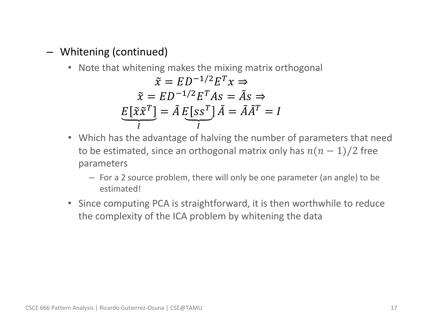#### – Whitening (continued)

• Note that whitening makes the mixing matrix orthogonal

$$
\tilde{x} = ED^{-1/2}E^{T} x \Rightarrow
$$

$$
\tilde{x} = ED^{-1/2}E^{T} As = \tilde{A}s \Rightarrow
$$

$$
E[\tilde{x}\tilde{x}^{T}] = \tilde{A}E[ss^{T}]\tilde{A} = \tilde{A}\tilde{A}^{T} = I
$$

- Which has the advantage of halving the number of parameters that need to be estimated, since an orthogonal matrix only has  $n(n - 1)/2$  free parameters
	- For a 2 source problem, there will only be one parameter (an angle) to be estimated!
- Since computing PCA is straightforward, it is then worthwhile to reduce the complexity of the ICA problem by whitening the data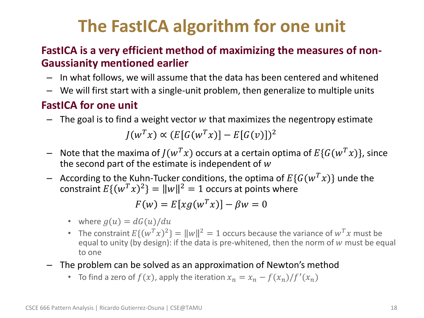# **The FastICA algorithm for one unit**

#### • **FastICA is a very efficient method of maximizing the measures of non-Gaussianity mentioned earlier**

- In what follows, we will assume that the data has been centered and whitened
- We will first start with a single-unit problem, then generalize to multiple units

#### • **FastICA for one unit**

- $-$  The goal is to find a weight vector w that maximizes the negentropy estimate  $J(w^T x) \propto (E[G(w^T x)] - E[G(v)])^2$
- Note that the maxima of  $J(w^T x)$  occurs at a certain optima of  $E\{G(w^T x)\}\$ , since the second part of the estimate is independent of  $w$
- According to the Kuhn-Tucker conditions, the optima of  $E\{G(w^Tx)\}\)$  unde the constraint  $E\{(w^T x)^2\} = ||w||^2 = 1$  occurs at points where

$$
F(w) = E[xg(w^T x)] - \beta w = 0
$$

- where  $q(u) = dG(u)/du$
- The constraint  $E\{(w^T x)^2\} = ||w||^2 = 1$  occurs because the variance of  $w^T x$  must be equal to unity (by design): if the data is pre-whitened, then the norm of  $w$  must be equal to one
- The problem can be solved as an approximation of Newton's method
	- To find a zero of  $f(x)$ , apply the iteration  $x_n = x_n f(x_n)/f'(x_n)$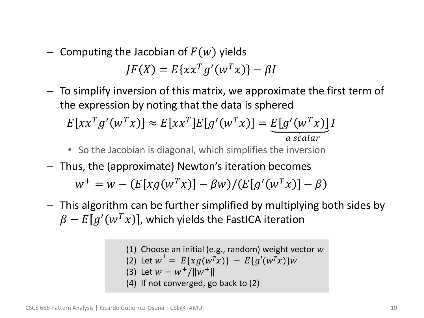- Computing the Jacobian of  $F(w)$  yields  $JF(X) = E\{xx^{T}g'(w^{T}x)\} - \beta I$
- To simplify inversion of this matrix, we approximate the first term of the expression by noting that the data is sphered  $\overline{F}$

$$
E[xx^T g'(w^T x)] \approx E[xx^T] E[g'(w^T x)] = \underbrace{E[g'(w^T x)]}_{a \text{ scalar}} I
$$

- So the Jacobian is diagonal, which simplifies the inversion
- Thus, the (approximate) Newton's iteration becomes

 $w^+ = w - (E[xg(w^T x)] - \beta w)/(E[g'(w^T x)] - \beta w)$ 

– This algorithm can be further simplified by multiplying both sides by  $\beta - E[g'(w^T x)]$ , which yields the FastICA iteration

> (1) Choose an initial (e.g., random) weight vector  $w$ (2) Let  $w^+ = E\{xg(w^Tx)\} - E\{g'(w^Tx)\}$ (3) Let  $w = w^+ / ||w^+||$ (4) If not converged, go back to (2)